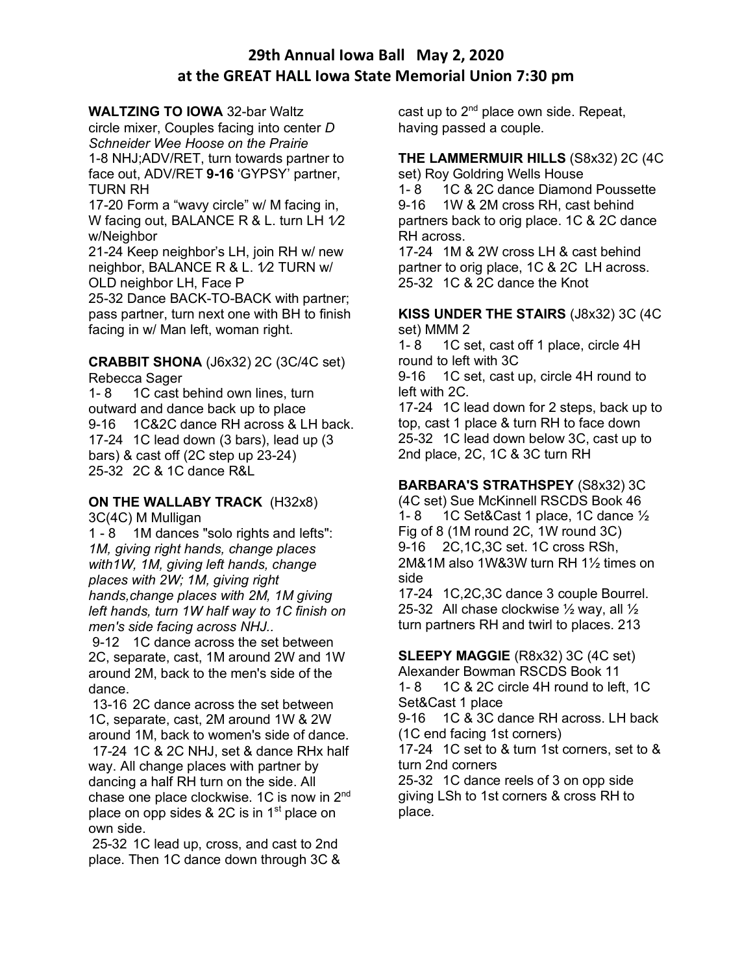# **29th Annual Iowa Ball May 2, 2020 at the GREAT HALL Iowa State Memorial Union 7:30 pm**

#### **WALTZING TO IOWA** 32-bar Waltz

circle mixer, Couples facing into center *D Schneider Wee Hoose on the Prairie* 1-8 NHJ;ADV/RET, turn towards partner to face out, ADV/RET **9-16** 'GYPSY' partner, TURN RH

17-20 Form a "wavy circle" w/ M facing in, W facing out, BALANCE R & L. turn LH 1/2 w/Neighbor

21-24 Keep neighbor's LH, join RH w/ new neighbor, BALANCE R & L. 1⁄2 TURN w/ OLD neighbor LH, Face P

25-32 Dance BACK-TO-BACK with partner; pass partner, turn next one with BH to finish facing in w/ Man left, woman right.

#### **CRABBIT SHONA** (J6x32) 2C (3C/4C set) Rebecca Sager

1- 8 1C cast behind own lines, turn outward and dance back up to place 9-16 1C&2C dance RH across & LH back. 17-24 1C lead down (3 bars), lead up (3 bars) & cast off (2C step up 23-24) 25-32 2C & 1C dance R&L

#### **ON THE WALLABY TRACK** (H32x8) 3C(4C) M Mulligan

1 - 8 1M dances "solo rights and lefts": *1M, giving right hands, change places with1W, 1M, giving left hands, change places with 2W; 1M, giving right hands,change places with 2M, 1M giving left hands, turn 1W half way to 1C finish on men's side facing across NHJ..*

9-12 1C dance across the set between 2C, separate, cast, 1M around 2W and 1W around 2M, back to the men's side of the dance.

13-16 2C dance across the set between 1C, separate, cast, 2M around 1W & 2W around 1M, back to women's side of dance.

17-24 1C & 2C NHJ, set & dance RHx half way. All change places with partner by dancing a half RH turn on the side. All chase one place clockwise. 1C is now in 2<sup>nd</sup> place on opp sides & 2C is in 1<sup>st</sup> place on own side.

25-32 1C lead up, cross, and cast to 2nd place. Then 1C dance down through 3C & cast up to  $2^{nd}$  place own side. Repeat, having passed a couple.

# **THE LAMMERMUIR HILLS** (S8x32) 2C (4C

set) Roy Goldring Wells House

1- 8 1C & 2C dance Diamond Poussette 9-16 1W & 2M cross RH, cast behind partners back to orig place. 1C & 2C dance RH across.

17-24 1M & 2W cross LH & cast behind partner to orig place, 1C & 2C LH across. 25-32 1C & 2C dance the Knot

#### **KISS UNDER THE STAIRS** (J8x32) 3C (4C set) MMM 2

1- 8 1C set, cast off 1 place, circle 4H round to left with 3C

9-16 1C set, cast up, circle 4H round to left with 2C.

17-24 1C lead down for 2 steps, back up to top, cast 1 place & turn RH to face down 25-32 1C lead down below 3C, cast up to 2nd place, 2C, 1C & 3C turn RH

## **BARBARA'S STRATHSPEY** (S8x32) 3C

(4C set) Sue McKinnell RSCDS Book 46 1- 8 1C Set&Cast 1 place, 1C dance  $\frac{1}{2}$ Fig of 8 (1M round 2C, 1W round 3C) 9-16 2C,1C,3C set. 1C cross RSh, 2M&1M also 1W&3W turn RH 1½ times on side

17-24 1C,2C,3C dance 3 couple Bourrel. 25-32 All chase clockwise  $\frac{1}{2}$  way, all  $\frac{1}{2}$ turn partners RH and twirl to places. 213

**SLEEPY MAGGIE** (R8x32) 3C (4C set) Alexander Bowman RSCDS Book 11 1- 8 1C & 2C circle 4H round to left, 1C

Set&Cast 1 place 9-16 1C & 3C dance RH across. LH back

(1C end facing 1st corners)

17-24 1C set to & turn 1st corners, set to & turn 2nd corners

25-32 1C dance reels of 3 on opp side giving LSh to 1st corners & cross RH to place.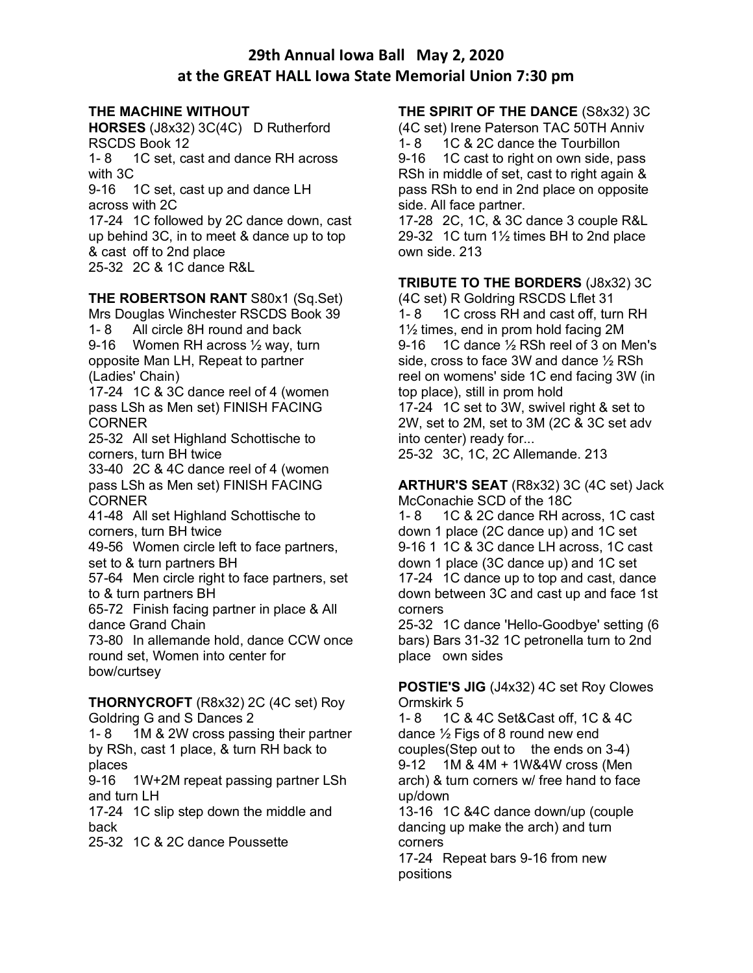# **29th Annual Iowa Ball May 2, 2020 at the GREAT HALL Iowa State Memorial Union 7:30 pm**

#### **THE MACHINE WITHOUT**

**HORSES** (J8x32) 3C(4C) D Rutherford RSCDS Book 12

1- 8 1C set, cast and dance RH across with 3C

9-16 1C set, cast up and dance LH across with 2C

17-24 1C followed by 2C dance down, cast up behind 3C, in to meet & dance up to top & cast off to 2nd place 25-32 2C & 1C dance R&L

## **THE ROBERTSON RANT** S80x1 (Sq.Set)

Mrs Douglas Winchester RSCDS Book 39 1- 8 All circle 8H round and back 9-16 Women RH across ½ way, turn opposite Man LH, Repeat to partner (Ladies' Chain)

17-24 1C & 3C dance reel of 4 (women pass LSh as Men set) FINISH FACING CORNER

25-32 All set Highland Schottische to corners, turn BH twice

33-40 2C & 4C dance reel of 4 (women pass LSh as Men set) FINISH FACING **CORNER** 

41-48 All set Highland Schottische to corners, turn BH twice

49-56 Women circle left to face partners, set to & turn partners BH

57-64 Men circle right to face partners, set to & turn partners BH

65-72 Finish facing partner in place & All dance Grand Chain

73-80 In allemande hold, dance CCW once round set, Women into center for bow/curtsey

**THORNYCROFT** (R8x32) 2C (4C set) Roy Goldring G and S Dances 2

1-8 1M & 2W cross passing their partner by RSh, cast 1 place, & turn RH back to places

9-16 1W+2M repeat passing partner LSh and turn LH

17-24 1C slip step down the middle and back

25-32 1C & 2C dance Poussette

## **THE SPIRIT OF THE DANCE** (S8x32) 3C

(4C set) Irene Paterson TAC 50TH Anniv 1- 8 1C & 2C dance the Tourbillon

9-16 1C cast to right on own side, pass RSh in middle of set, cast to right again & pass RSh to end in 2nd place on opposite side. All face partner.

17-28 2C, 1C, & 3C dance 3 couple R&L 29-32 1C turn 1½ times BH to 2nd place own side. 213

**TRIBUTE TO THE BORDERS** (J8x32) 3C

(4C set) R Goldring RSCDS Lflet 31 1- 8 1C cross RH and cast off, turn RH 1½ times, end in prom hold facing 2M 9-16 1C dance 1/2 RSh reel of 3 on Men's side, cross to face 3W and dance ½ RSh reel on womens' side 1C end facing 3W (in top place), still in prom hold 17-24 1C set to 3W, swivel right & set to

2W, set to 2M, set to 3M (2C & 3C set adv into center) ready for...

25-32 3C, 1C, 2C Allemande. 213

**ARTHUR'S SEAT** (R8x32) 3C (4C set) Jack McConachie SCD of the 18C

1- 8 1C & 2C dance RH across, 1C cast down 1 place (2C dance up) and 1C set 9-16 1 1C & 3C dance LH across, 1C cast down 1 place (3C dance up) and 1C set 17-24 1C dance up to top and cast, dance down between 3C and cast up and face 1st corners

25-32 1C dance 'Hello-Goodbye' setting (6 bars) Bars 31-32 1C petronella turn to 2nd place own sides

**POSTIE'S JIG** (J4x32) 4C set Roy Clowes Ormskirk 5

1- 8 1C & 4C Set&Cast off, 1C & 4C dance ½ Figs of 8 round new end couples(Step out to the ends on  $3-4$ ) 9-12 1M & 4M + 1W&4W cross (Men arch) & turn corners w/ free hand to face up/down

13-16 1C &4C dance down/up (couple dancing up make the arch) and turn corners

17-24 Repeat bars 9-16 from new positions